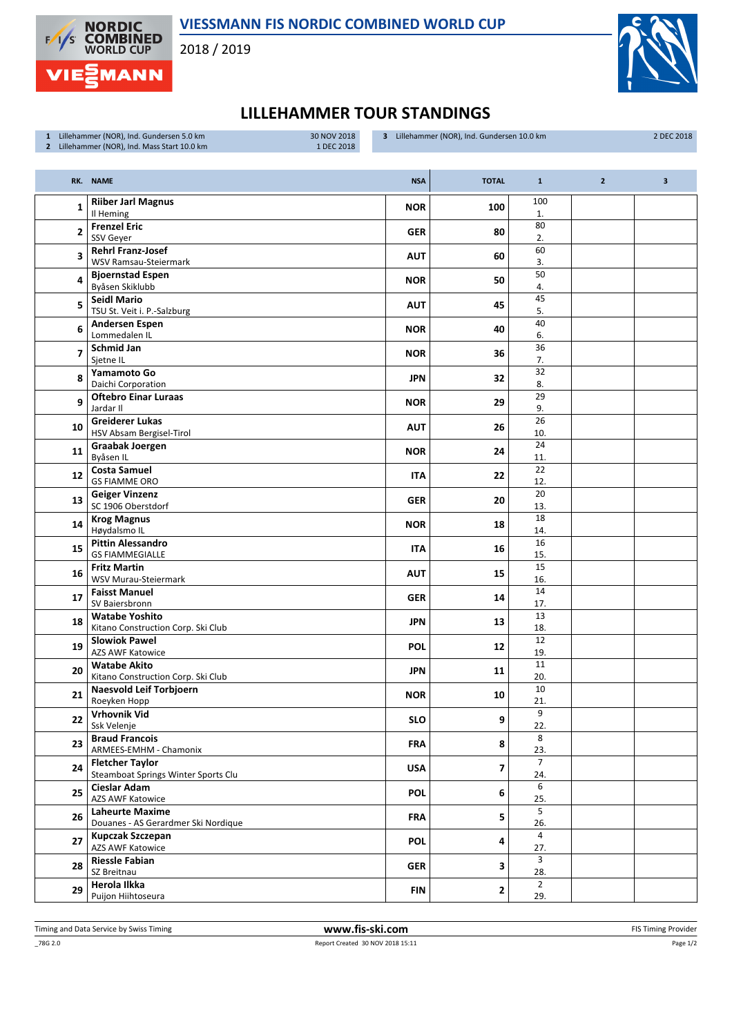

VIESSMANN FIS NORDIC COMBINED WORLD CUP

2018 / 2019



## LILLEHAMMER TOUR STANDINGS

| 1 Lillehammer (NOR), Ind. Gundersen 5.0 km   | 30 NOV 2018 |
|----------------------------------------------|-------------|
| 2 Lillehammer (NOR), Ind. Mass Start 10.0 km | 1 DEC 2018  |

3 Lillehammer (NOR), Ind. Gundersen 10.0 km 2 DEC 2018

|                          | RK. NAME                                                      | <b>NSA</b> | <b>TOTAL</b>   | $\mathbf{1}$           | $\overline{2}$ | $\overline{\mathbf{3}}$ |
|--------------------------|---------------------------------------------------------------|------------|----------------|------------------------|----------------|-------------------------|
| 1                        | <b>Riiber Jarl Magnus</b><br>Il Heming                        | <b>NOR</b> | 100            | 100<br>1.              |                |                         |
| 2                        | <b>Frenzel Eric</b><br>SSV Geyer                              | <b>GER</b> | 80             | 80<br>2.               |                |                         |
| 3                        | <b>Rehrl Franz-Josef</b><br>WSV Ramsau-Steiermark             | <b>AUT</b> | 60             | 60<br>3.               |                |                         |
| 4                        | <b>Bjoernstad Espen</b><br>Byåsen Skiklubb                    | <b>NOR</b> | 50             | 50<br>4.               |                |                         |
| 5                        | <b>Seidl Mario</b><br>TSU St. Veit i. P.-Salzburg             | <b>AUT</b> | 45             | 45<br>5.               |                |                         |
| 6                        | <b>Andersen Espen</b><br>Lommedalen IL                        | <b>NOR</b> | 40             | 40<br>6.               |                |                         |
| $\overline{\phantom{a}}$ | <b>Schmid Jan</b><br>Sjetne IL                                | <b>NOR</b> | 36             | $\overline{36}$<br>7.  |                |                         |
| 8                        | Yamamoto Go<br>Daichi Corporation                             | <b>JPN</b> | 32             | 32<br>8.               |                |                         |
| 9                        | <b>Oftebro Einar Luraas</b><br>Jardar II                      | <b>NOR</b> | 29             | 29<br>9.               |                |                         |
| 10                       | <b>Greiderer Lukas</b><br>HSV Absam Bergisel-Tirol            | <b>AUT</b> | 26             | 26<br>10.              |                |                         |
| 11                       | Graabak Joergen<br>Byåsen IL                                  | <b>NOR</b> | 24             | 24<br>11.              |                |                         |
| 12                       | <b>Costa Samuel</b><br><b>GS FIAMME ORO</b>                   | <b>ITA</b> | 22             | 22<br>12.              |                |                         |
| 13                       | <b>Geiger Vinzenz</b><br>SC 1906 Oberstdorf                   | <b>GER</b> | 20             | 20<br>13.              |                |                         |
| 14                       | <b>Krog Magnus</b><br>Høydalsmo IL                            | <b>NOR</b> | 18             | 18<br>14.              |                |                         |
| 15                       | <b>Pittin Alessandro</b><br><b>GS FIAMMEGIALLE</b>            | <b>ITA</b> | 16             | 16<br>15.              |                |                         |
| 16                       | <b>Fritz Martin</b><br><b>WSV Murau-Steiermark</b>            | <b>AUT</b> | 15             | $\overline{15}$<br>16. |                |                         |
| 17                       | <b>Faisst Manuel</b><br>SV Baiersbronn                        | <b>GER</b> | 14             | 14<br>17.              |                |                         |
| 18                       | <b>Watabe Yoshito</b><br>Kitano Construction Corp. Ski Club   | <b>JPN</b> | 13             | 13<br>18.              |                |                         |
| 19                       | <b>Slowiok Pawel</b><br><b>AZS AWF Katowice</b>               | <b>POL</b> | 12             | 12<br>19.              |                |                         |
| 20                       | <b>Watabe Akito</b><br>Kitano Construction Corp. Ski Club     | <b>JPN</b> | 11             | 11<br>20.              |                |                         |
| 21                       | Naesvold Leif Torbjoern<br>Roeyken Hopp                       | <b>NOR</b> | 10             | 10<br>21.              |                |                         |
| 22                       | <b>Vrhovnik Vid</b><br>Ssk Velenje                            | <b>SLO</b> | 9              | $\mathbf{q}$<br>22.    |                |                         |
| 23                       | <b>Braud Francois</b><br>ARMEES-EMHM - Chamonix               | <b>FRA</b> | 8              | 8<br>23.               |                |                         |
| 24                       | <b>Fletcher Taylor</b><br>Steamboat Springs Winter Sports Clu | <b>USA</b> | $\overline{ }$ | $\overline{7}$<br>24.  |                |                         |
| 25                       | <b>Cieslar Adam</b><br>AZS AWF Katowice                       | <b>POL</b> | 6              | 6<br>25.               |                |                         |
| 26                       | <b>Laheurte Maxime</b><br>Douanes - AS Gerardmer Ski Nordique | <b>FRA</b> | 5              | 5<br>26.               |                |                         |
| 27                       | <b>Kupczak Szczepan</b><br><b>AZS AWF Katowice</b>            | <b>POL</b> | 4              | 4<br>27.               |                |                         |
| 28                       | <b>Riessle Fabian</b><br>SZ Breitnau                          | <b>GER</b> | 3              | 3<br>28.               |                |                         |
| 29                       | Herola Ilkka<br>Puijon Hiihtoseura                            | <b>FIN</b> | 2              | $\overline{2}$<br>29.  |                |                         |

Timing and Data Service by Swiss Timing WWW.fis-ski.com **FIS Timing Provider** FIS Timing Provider

Page 1/2